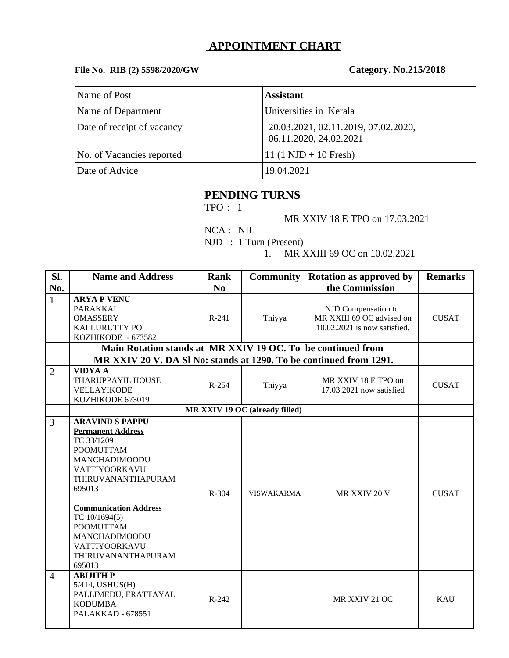## **APPOINTMENT CHART**

## **File No. RIB (2) 5598/2020/GW Category. No.215/2018**

| Name of Post               | <b>Assistant</b>                                              |
|----------------------------|---------------------------------------------------------------|
| Name of Department         | Universities in Kerala                                        |
| Date of receipt of vacancy | 20.03.2021, 02.11.2019, 07.02.2020,<br>06.11.2020, 24.02.2021 |
| No. of Vacancies reported  | 11 $(1 \text{ NJD} + 10 \text{ Fresh})$                       |
| Date of Advice             | 19.04.2021                                                    |

# **PENDING TURNS**

TPO : 1

MR XXIV 18 E TPO on 17.03.2021

 NCA : NIL NJD : 1 Turn (Present)

1. MR XXIII 69 OC on 10.02.2021

| SI.            | <b>Name and Address</b>                                                                                                                                                                                                                                                                       | <b>Rank</b> | <b>Community</b>  | <b>Rotation as approved by</b>                                                   | <b>Remarks</b> |  |  |  |
|----------------|-----------------------------------------------------------------------------------------------------------------------------------------------------------------------------------------------------------------------------------------------------------------------------------------------|-------------|-------------------|----------------------------------------------------------------------------------|----------------|--|--|--|
| No.            |                                                                                                                                                                                                                                                                                               | No          |                   | the Commission                                                                   |                |  |  |  |
|                |                                                                                                                                                                                                                                                                                               |             |                   |                                                                                  |                |  |  |  |
| $\mathbf{1}$   | <b>ARYA P VENU</b><br>PARAKKAL<br><b>OMASSERY</b><br>KALLURUTTY PO<br>KOZHIKODE - 673582                                                                                                                                                                                                      | R-241       | Thiyya            | NJD Compensation to<br>MR XXIII 69 OC advised on<br>10.02.2021 is now satisfied. | <b>CUSAT</b>   |  |  |  |
|                | Main Rotation stands at MR XXIV 19 OC. To be continued from                                                                                                                                                                                                                                   |             |                   |                                                                                  |                |  |  |  |
|                | MR XXIV 20 V. DA SI No: stands at 1290. To be continued from 1291.                                                                                                                                                                                                                            |             |                   |                                                                                  |                |  |  |  |
| $\overline{2}$ | <b>VIDYA A</b><br>THARUPPAYIL HOUSE<br>VELLAYIKODE<br>KOZHIKODE 673019                                                                                                                                                                                                                        | $R-254$     | Thiyya            | MR XXIV 18 E TPO on<br>17.03.2021 now satisfied                                  | <b>CUSAT</b>   |  |  |  |
|                | MR XXIV 19 OC (already filled)                                                                                                                                                                                                                                                                |             |                   |                                                                                  |                |  |  |  |
| 3              | <b>ARAVIND S PAPPU</b><br><b>Permanent Address</b><br>TC 33/1209<br><b>POOMUTTAM</b><br>MANCHADIMOODU<br>VATTIYOORKAVU<br>THIRUVANANTHAPURAM<br>695013<br><b>Communication Address</b><br>TC 10/1694(5)<br><b>POOMUTTAM</b><br>MANCHADIMOODU<br>VATTIYOORKAVU<br>THIRUVANANTHAPURAM<br>695013 | R-304       | <b>VISWAKARMA</b> | MR XXIV 20 V                                                                     | <b>CUSAT</b>   |  |  |  |
| $\overline{4}$ | <b>ABIJITH P</b><br>5/414, USHUS(H)<br>PALLIMEDU, ERATTAYAL<br><b>KODUMBA</b><br><b>PALAKKAD - 678551</b>                                                                                                                                                                                     | $R - 242$   |                   | MR XXIV 21 OC                                                                    | KAU            |  |  |  |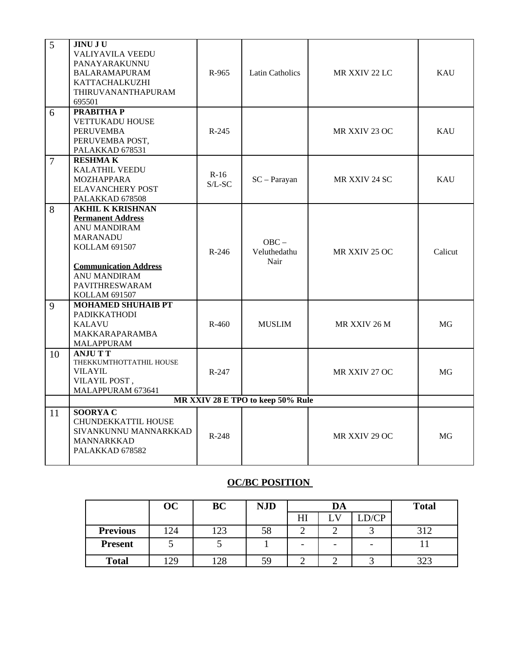| 5              | <b>JINU JU</b><br><b>VALIYAVILA VEEDU</b><br>PANAYARAKUNNU<br><b>BALARAMAPURAM</b><br>KATTACHALKUZHI<br>THIRUVANANTHAPURAM<br>695501                                                                                   | R-965               | <b>Latin Catholics</b>          | MR XXIV 22 LC | <b>KAU</b> |  |  |  |
|----------------|------------------------------------------------------------------------------------------------------------------------------------------------------------------------------------------------------------------------|---------------------|---------------------------------|---------------|------------|--|--|--|
| 6              | PRABITHA P<br><b>VETTUKADU HOUSE</b><br><b>PERUVEMBA</b><br>PERUVEMBA POST,<br>PALAKKAD 678531                                                                                                                         | $R-245$             |                                 | MR XXIV 23 OC | <b>KAU</b> |  |  |  |
| $\overline{7}$ | <b>RESHMAK</b><br>KALATHIL VEEDU<br>MOZHAPPARA<br><b>ELAVANCHERY POST</b><br>PALAKKAD 678508                                                                                                                           | $R-16$<br>$S/L$ -SC | $SC - Parayan$                  | MR XXIV 24 SC | <b>KAU</b> |  |  |  |
| 8              | <b>AKHIL K KRISHNAN</b><br><b>Permanent Address</b><br><b>ANU MANDIRAM</b><br><b>MARANADU</b><br><b>KOLLAM 691507</b><br><b>Communication Address</b><br><b>ANU MANDIRAM</b><br>PAVITHRESWARAM<br><b>KOLLAM 691507</b> | R-246               | $OBC -$<br>Veluthedathu<br>Nair | MR XXIV 25 OC | Calicut    |  |  |  |
| 9              | <b>MOHAMED SHUHAIB PT</b><br>PADIKKATHODI<br><b>KALAVU</b><br>MAKKARAPARAMBA<br>MALAPPURAM                                                                                                                             | R-460               | <b>MUSLIM</b>                   | MR XXIV 26 M  | MG         |  |  |  |
| 10             | <b>ANJUTT</b><br>THEKKUMTHOTTATHIL HOUSE<br><b>VILAYIL</b><br>VILAYIL POST,<br>MALAPPURAM 673641                                                                                                                       | $R-247$             |                                 | MR XXIV 27 OC | MG         |  |  |  |
|                | MR XXIV 28 E TPO to keep 50% Rule                                                                                                                                                                                      |                     |                                 |               |            |  |  |  |
| 11             | <b>SOORYAC</b><br>CHUNDEKKATTIL HOUSE<br>SIVANKUNNU MANNARKKAD<br>MANNARKKAD<br>PALAKKAD 678582                                                                                                                        | R-248               |                                 | MR XXIV 29 OC | MG         |  |  |  |

## **OC/BC POSITION**

|                 | $\overline{OC}$ | BC  | <b>NJD</b> | DA |              | <b>Total</b> |              |
|-----------------|-----------------|-----|------------|----|--------------|--------------|--------------|
|                 |                 |     |            | HI | $\mathbf{L}$ | LD/CP        |              |
| <b>Previous</b> | 124             | 123 | 58         |    |              |              | 217          |
| <b>Present</b>  | u.              |     |            | -  | -            | -            |              |
| <b>Total</b>    | .29             | סר  | 59         |    |              |              | ררר<br>ں ے ب |